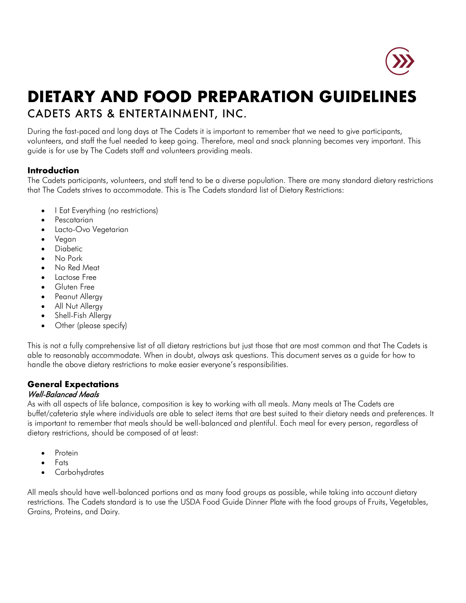

# **DIETARY AND FOOD PREPARATION GUIDELINES** CADETS ARTS & ENTERTAINMENT, INC.

During the fast-paced and long days at The Cadets it is important to remember that we need to give participants, volunteers, and staff the fuel needed to keep going. Therefore, meal and snack planning becomes very important. This guide is for use by The Cadets staff and volunteers providing meals.

## **Introduction**

The Cadets participants, volunteers, and staff tend to be a diverse population. There are many standard dietary restrictions that The Cadets strives to accommodate. This is The Cadets standard list of Dietary Restrictions:

- I Eat Everything (no restrictions)
- Pescatarian
- Lacto-Ovo Vegetarian
- Vegan
- Diabetic
- No Pork
- No Red Meat
- Lactose Free
- **Gluten Free**
- Peanut Allergy
- All Nut Allergy
- Shell-Fish Allergy
- Other (please specify)

This is not a fully comprehensive list of all dietary restrictions but just those that are most common and that The Cadets is able to reasonably accommodate. When in doubt, always ask questions. This document serves as a guide for how to handle the above dietary restrictions to make easier everyone's responsibilities.

## **General Expectations** Well-Balanced Meals

As with all aspects of life balance, composition is key to working with all meals. Many meals at The Cadets are buffet/cafeteria style where individuals are able to select items that are best suited to their dietary needs and preferences. It is important to remember that meals should be well-balanced and plentiful. Each meal for every person, regardless of dietary restrictions, should be composed of at least:

- **Protein**
- Fats
- **Carbohydrates**

All meals should have well-balanced portions and as many food groups as possible, while taking into account dietary restrictions. The Cadets standard is to use the USDA Food Guide Dinner Plate with the food groups of Fruits, Vegetables, Grains, Proteins, and Dairy.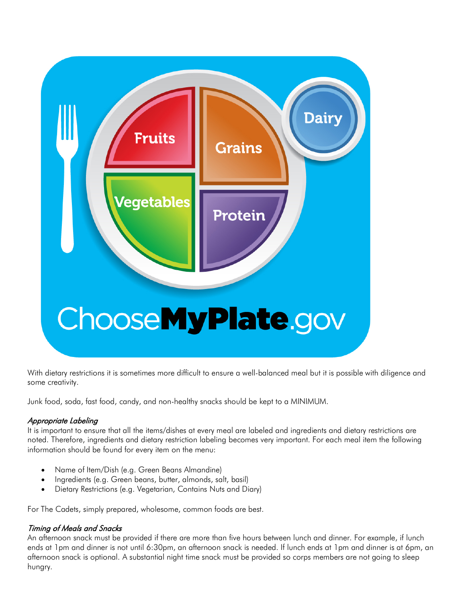

With dietary restrictions it is sometimes more difficult to ensure a well-balanced meal but it is possible with diligence and some creativity.

Junk food, soda, fast food, candy, and non-healthy snacks should be kept to a MINIMUM.

# Appropriate Labeling

It is important to ensure that all the items/dishes at every meal are labeled and ingredients and dietary restrictions are noted. Therefore, ingredients and dietary restriction labeling becomes very important. For each meal item the following information should be found for every item on the menu:

- Name of Item/Dish (e.g. Green Beans Almandine)
- Ingredients (e.g. Green beans, butter, almonds, salt, basil)
- Dietary Restrictions (e.g. Vegetarian, Contains Nuts and Diary)

For The Cadets, simply prepared, wholesome, common foods are best.

## Timing of Meals and Snacks

An afternoon snack must be provided if there are more than five hours between lunch and dinner. For example, if lunch ends at 1pm and dinner is not until 6:30pm, an afternoon snack is needed. If lunch ends at 1pm and dinner is at 6pm, an afternoon snack is optional. A substantial night time snack must be provided so corps members are not going to sleep hungry.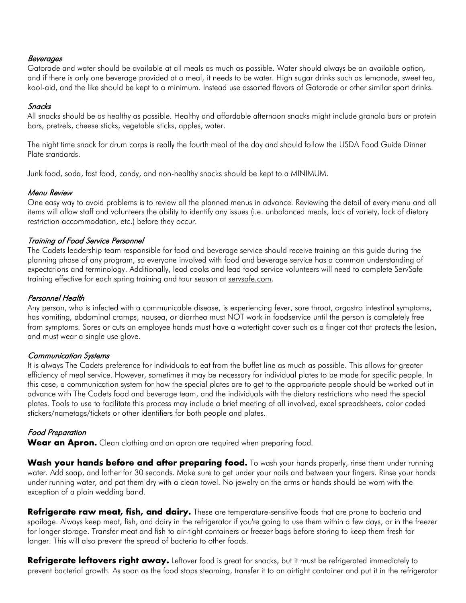#### Beverages

Gatorade and water should be available at all meals as much as possible. Water should always be an available option, and if there is only one beverage provided at a meal, it needs to be water. High sugar drinks such as lemonade, sweet tea, kool-aid, and the like should be kept to a minimum. Instead use assorted flavors of Gatorade or other similar sport drinks.

#### Snacks

All snacks should be as healthy as possible. Healthy and affordable afternoon snacks might include granola bars or protein bars, pretzels, cheese sticks, vegetable sticks, apples, water.

The night time snack for drum corps is really the fourth meal of the day and should follow the USDA Food Guide Dinner Plate standards.

Junk food, soda, fast food, candy, and non-healthy snacks should be kept to a MINIMUM.

#### Menu Review

One easy way to avoid problems is to review all the planned menus in advance. Reviewing the detail of every menu and all items will allow staff and volunteers the ability to identify any issues (i.e. unbalanced meals, lack of variety, lack of dietary restriction accommodation, etc.) before they occur.

## Training of Food Service Personnel

The Cadets leadership team responsible for food and beverage service should receive training on this guide during the planning phase of any program, so everyone involved with food and beverage service has a common understanding of expectations and terminology. Additionally, lead cooks and lead food service volunteers will need to complete ServSafe training effective for each spring training and tour season at servsafe.com.

## Personnel Health

Any person, who is infected with a communicable disease, is experiencing fever, sore throat, orgastro intestinal symptoms, has vomiting, abdominal cramps, nausea, or diarrhea must NOT work in foodservice until the person is completely free from symptoms. Sores or cuts on employee hands must have a watertight cover such as a finger cot that protects the lesion, and must wear a single use glove.

#### Communication Systems

It is always The Cadets preference for individuals to eat from the buffet line as much as possible. This allows for greater efficiency of meal service. However, sometimes it may be necessary for individual plates to be made for specific people. In this case, a communication system for how the special plates are to get to the appropriate people should be worked out in advance with The Cadets food and beverage team, and the individuals with the dietary restrictions who need the special plates. Tools to use to facilitate this process may include a brief meeting of all involved, excel spreadsheets, color coded stickers/nametags/tickets or other identifiers for both people and plates.

## Food Preparation

**Wear an Apron.** Clean clothing and an apron are required when preparing food.

**Wash your hands before and after preparing food.** To wash your hands properly, rinse them under running water. Add soap, and lather for 30 seconds. Make sure to get under your nails and between your fingers. Rinse your hands under running water, and pat them dry with a clean towel. No jewelry on the arms or hands should be worn with the exception of a plain wedding band.

**Refrigerate raw meat, fish, and dairy.** These are temperature-sensitive foods that are prone to bacteria and spoilage. Always keep meat, fish, and dairy in the refrigerator if you're going to use them within a few days, or in the freezer for longer storage. Transfer meat and fish to air-tight containers or freezer bags before storing to keep them fresh for longer. This will also prevent the spread of bacteria to other foods.

Refrigerate leftovers right away. Leftover food is great for snacks, but it must be refrigerated immediately to prevent bacterial growth. As soon as the food stops steaming, transfer it to an airtight container and put it in the refrigerator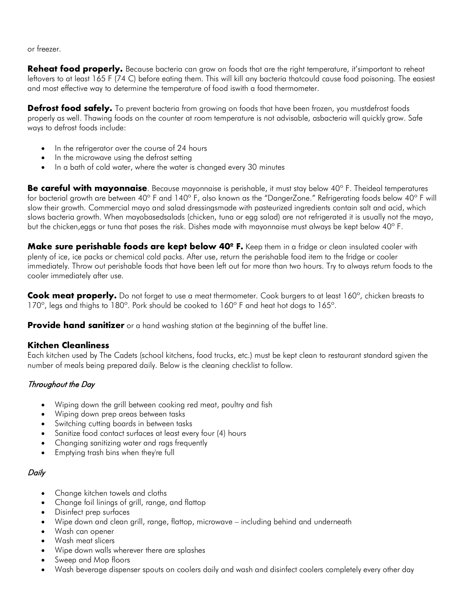or freezer.

**Reheat food properly.** Because bacteria can grow on foods that are the right temperature, it'simportant to reheat leftovers to at least 165 F (74 C) before eating them. This will kill any bacteria thatcould cause food poisoning. The easiest and most effective way to determine the temperature of food iswith a food thermometer.

**Defrost food safely.** To prevent bacteria from growing on foods that have been frozen, you mustdefrost foods properly as well. Thawing foods on the counter at room temperature is not advisable, asbacteria will quickly grow. Safe ways to defrost foods include:

- In the refrigerator over the course of 24 hours
- In the microwave using the defrost setting
- In a bath of cold water, where the water is changed every 30 minutes

**Be careful with mayonnaise**. Because mayonnaise is perishable, it must stay below 40º F. Theideal temperatures for bacterial growth are between 40° F and 140° F, also known as the "DangerZone." Refrigerating foods below 40° F will slow their growth. Commercial mayo and salad dressingsmade with pasteurized ingredients contain salt and acid, which slows bacteria growth. When mayobasedsalads (chicken, tuna or egg salad) are not refrigerated it is usually not the mayo, but the chicken,eggs or tuna that poses the risk. Dishes made with mayonnaise must always be kept below 40º F.

**Make sure perishable foods are kept below 40º F.** Keep them in a fridge or clean insulated cooler with plenty of ice, ice packs or chemical cold packs. After use, return the perishable food item to the fridge or cooler immediately. Throw out perishable foods that have been left out for more than two hours. Try to always return foods to the cooler immediately after use.

**Cook meat properly.** Do not forget to use a meat thermometer. Cook burgers to at least 160º, chicken breasts to 170°, legs and thighs to 180°. Pork should be cooked to 160° F and heat hot dogs to 165°.

**Provide hand sanitizer** or a hand washing station at the beginning of the buffet line.

## **Kitchen Cleanliness**

Each kitchen used by The Cadets (school kitchens, food trucks, etc.) must be kept clean to restaurant standard sgiven the number of meals being prepared daily. Below is the cleaning checklist to follow.

# Throughout the Day

- Wiping down the grill between cooking red meat, poultry and fish
- Wiping down prep areas between tasks
- Switching cutting boards in between tasks
- Sanitize food contact surfaces at least every four (4) hours
- Changing sanitizing water and rags frequently
- Emptying trash bins when they're full

# **Daily**

- Change kitchen towels and cloths
- Change foil linings of grill, range, and flattop
- Disinfect prep surfaces
- Wipe down and clean grill, range, flattop, microwave including behind and underneath
- Wash can opener
- Wash meat slicers
- Wipe down walls wherever there are splashes
- Sweep and Mop floors
- Wash beverage dispenser spouts on coolers daily and wash and disinfect coolers completely every other day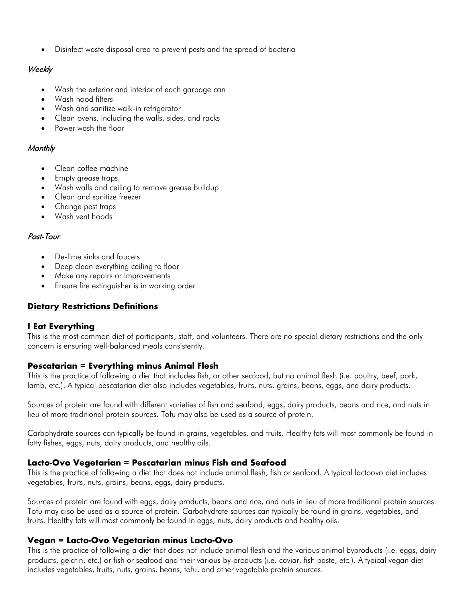• Disinfect waste disposal area to prevent pests and the spread of bacteria

## Weekly

- Wash the exterior and interior of each garbage can
- Wash hood filters
- Wash and sanitize walk-in refrigerator
- Clean ovens, including the walls, sides, and racks
- Power wash the floor

## **Monthly**

- Clean coffee machine
- Empty grease traps
- Wash walls and ceiling to remove grease buildup
- Clean and sanitize freezer
- Change pest traps
- Wash vent hoods

## Post-Tour

- De-lime sinks and faucets
- Deep clean everything ceiling to floor
- Make any repairs or improvements
- Ensure fire extinguisher is in working order

# **Dietary Restrictions Definitions**

# **I Eat Everything**

This is the most common diet of participants, staff, and volunteers. There are no special dietary restrictions and the only concern is ensuring well-balanced meals consistently.

# **Pescatarian = Everything minus Animal Flesh**

This is the practice of following a diet that includes fish, or other seafood, but no animal flesh (i.e. poultry, beef, pork, lamb, etc.). A typical pescatarian diet also includes vegetables, fruits, nuts, grains, beans, eggs, and dairy products.

Sources of protein are found with different varieties of fish and seafood, eggs, dairy products, beans and rice, and nuts in lieu of more traditional protein sources. Tofu may also be used as a source of protein.

Carbohydrate sources can typically be found in grains, vegetables, and fruits. Healthy fats will most commonly be found in fatty fishes, eggs, nuts, dairy products, and healthy oils.

# **Lacto-Ovo Vegetarian = Pescatarian minus Fish and Seafood**

This is the practice of following a diet that does not include animal flesh, fish or seafood. A typical lactoovo diet includes vegetables, fruits, nuts, grains, beans, eggs, dairy products.

Sources of protein are found with eggs, dairy products, beans and rice, and nuts in lieu of more traditional protein sources. Tofu may also be used as a source of protein. Carbohydrate sources can typically be found in grains, vegetables, and fruits. Healthy fats will most commonly be found in eggs, nuts, dairy products and healthy oils.

## **Vegan = Lacto-Ovo Vegetarian minus Lacto-Ovo**

This is the practice of following a diet that does not include animal flesh and the various animal byproducts (i.e. eggs, dairy products, gelatin, etc.) or fish or seafood and their various by-products (i.e. caviar, fish paste, etc.). A typical vegan diet includes vegetables, fruits, nuts, grains, beans, tofu, and other vegetable protein sources.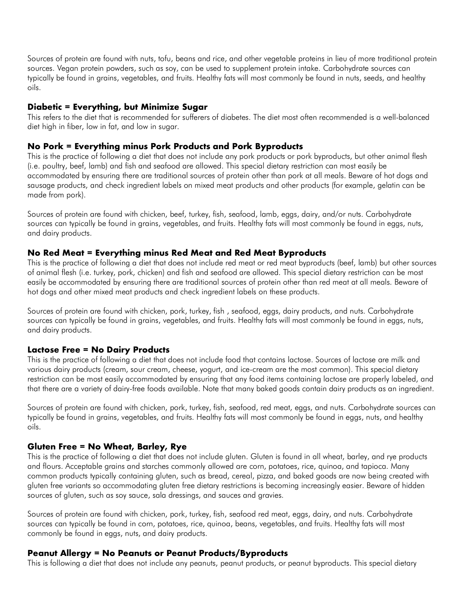Sources of protein are found with nuts, tofu, beans and rice, and other vegetable proteins in lieu of more traditional protein sources. Vegan protein powders, such as soy, can be used to supplement protein intake. Carbohydrate sources can typically be found in grains, vegetables, and fruits. Healthy fats will most commonly be found in nuts, seeds, and healthy oils.

#### **Diabetic = Everything, but Minimize Sugar**

This refers to the diet that is recommended for sufferers of diabetes. The diet most often recommended is a well-balanced diet high in fiber, low in fat, and low in sugar.

#### **No Pork = Everything minus Pork Products and Pork Byproducts**

This is the practice of following a diet that does not include any pork products or pork byproducts, but other animal flesh (i.e. poultry, beef, lamb) and fish and seafood are allowed. This special dietary restriction can most easily be accommodated by ensuring there are traditional sources of protein other than pork at all meals. Beware of hot dogs and sausage products, and check ingredient labels on mixed meat products and other products (for example, gelatin can be made from pork).

Sources of protein are found with chicken, beef, turkey, fish, seafood, lamb, eggs, dairy, and/or nuts. Carbohydrate sources can typically be found in grains, vegetables, and fruits. Healthy fats will most commonly be found in eggs, nuts, and dairy products.

#### **No Red Meat = Everything minus Red Meat and Red Meat Byproducts**

This is the practice of following a diet that does not include red meat or red meat byproducts (beef, lamb) but other sources of animal flesh (i.e. turkey, pork, chicken) and fish and seafood are allowed. This special dietary restriction can be most easily be accommodated by ensuring there are traditional sources of protein other than red meat at all meals. Beware of hot dogs and other mixed meat products and check ingredient labels on these products.

Sources of protein are found with chicken, pork, turkey, fish , seafood, eggs, dairy products, and nuts. Carbohydrate sources can typically be found in grains, vegetables, and fruits. Healthy fats will most commonly be found in eggs, nuts, and dairy products.

#### **Lactose Free = No Dairy Products**

This is the practice of following a diet that does not include food that contains lactose. Sources of lactose are milk and various dairy products (cream, sour cream, cheese, yogurt, and ice-cream are the most common). This special dietary restriction can be most easily accommodated by ensuring that any food items containing lactose are properly labeled, and that there are a variety of dairy-free foods available. Note that many baked goods contain dairy products as an ingredient.

Sources of protein are found with chicken, pork, turkey, fish, seafood, red meat, eggs, and nuts. Carbohydrate sources can typically be found in grains, vegetables, and fruits. Healthy fats will most commonly be found in eggs, nuts, and healthy oils.

#### **Gluten Free = No Wheat, Barley, Rye**

This is the practice of following a diet that does not include gluten. Gluten is found in all wheat, barley, and rye products and flours. Acceptable grains and starches commonly allowed are corn, potatoes, rice, quinoa, and tapioca. Many common products typically containing gluten, such as bread, cereal, pizza, and baked goods are now being created with gluten free variants so accommodating gluten free dietary restrictions is becoming increasingly easier. Beware of hidden sources of gluten, such as soy sauce, sala dressings, and sauces and gravies.

Sources of protein are found with chicken, pork, turkey, fish, seafood red meat, eggs, dairy, and nuts. Carbohydrate sources can typically be found in corn, potatoes, rice, quinoa, beans, vegetables, and fruits. Healthy fats will most commonly be found in eggs, nuts, and dairy products.

#### **Peanut Allergy = No Peanuts or Peanut Products/Byproducts**

This is following a diet that does not include any peanuts, peanut products, or peanut byproducts. This special dietary